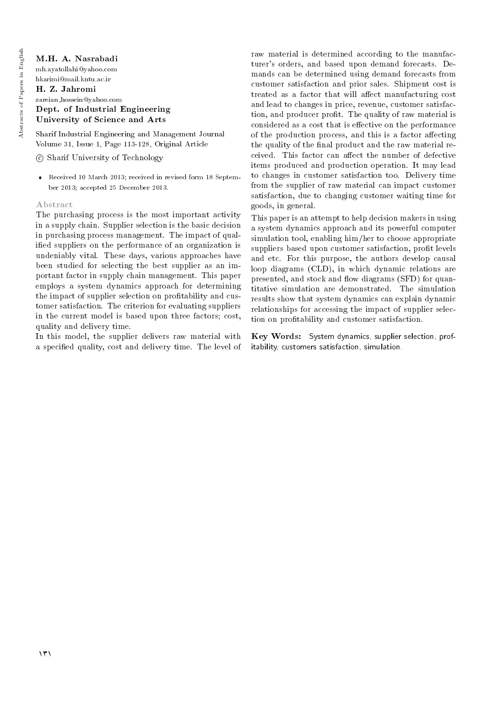# M.H. A. Nasrabadi

mh.ayatollahi@yahoo.com hkarimi@mail.kntu.ac.ir

#### H. Z. Jahromi zareian hossein@yahoo.com Dept. of Industrial Engineering University of Science and Arts

Sharif Industrial Engineering and Management Journal Volume 31, Issue 1, Page 113-128, Original Article

c Sharif University of Technology

 Received 10 March 2013; received in revised form 18 September 2013; accepted 25 December 2013.

## Abstract

The purchasing process is the most important activity in a supply chain. Supplier selection is the basic decision in purchasing process management. The impact of qualied suppliers on the performance of an organization is undeniably vital. These days, various approaches have been studied for selecting the best supplier as an important factor in supply chain management. This paper employs a system dynamics approach for determining the impact of supplier selection on protability and customer satisfaction. The criterion for evaluating suppliers in the current model is based upon three factors; cost, quality and delivery time.

In this model, the supplier delivers raw material with a specied quality, cost and delivery time. The level of raw material is determined according to the manufacturer's orders, and based upon demand forecasts. Demands can be determined using demand forecasts from customer satisfaction and prior sales. Shipment cost is treated as a factor that will affect manufacturing cost and lead to changes in price, revenue, customer satisfaction, and producer profit. The quality of raw material is considered as a cost that is effective on the performance of the production process, and this is a factor affecting the quality of the final product and the raw material received. This factor can affect the number of defective items produced and production operation. It may lead to changes in customer satisfaction too. Delivery time from the supplier of raw material can impact customer satisfaction, due to changing customer waiting time for goods, in general.

This paper is an attempt to help decision makers in using a system dynamics approach and its powerful computer simulation tool, enabling him/her to choose appropriate suppliers based upon customer satisfaction, prot levels and etc. For this purpose, the authors develop causal loop diagrams (CLD), in which dynamic relations are presented, and stock and flow diagrams (SFD) for quantitative simulation are demonstrated. The simulation results show that system dynamics can explain dynamic relationships for accessing the impact of supplier selection on protability and customer satisfaction.

Key Words: System dynamics, supplier selection, profitability, customers satisfaction, simulation.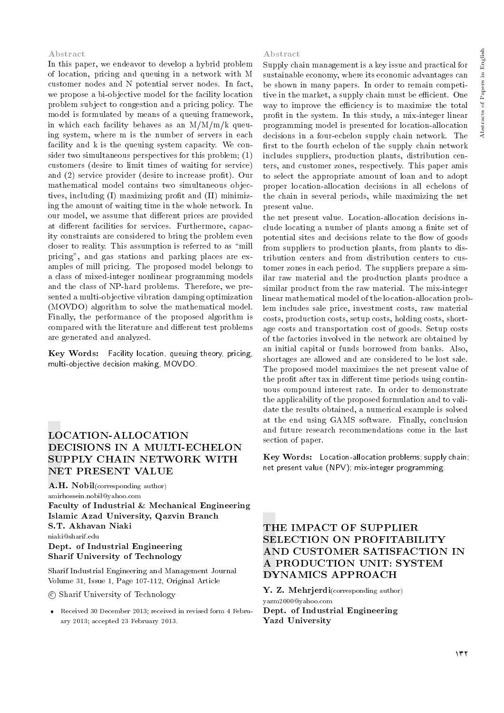# Abstracts of Papers in English Abstracts of Papers in English

#### Abstract

In this paper, we endeavor to develop a hybrid problem of location, pricing and queuing in a network with M customer nodes and N potential server nodes. In fact, we propose a bi-objective model for the facility location problem subject to congestion and a pricing policy. The model is formulated by means of a queuing framework, in which each facility behaves as an  $M/M/m/k$  queuing system, where m is the number of servers in each facility and k is the queuing system capacity. We consider two simultaneous perspectives for this problem; (1) customers (desire to limit times of waiting for service) and (2) service provider (desire to increase profit). Our mathematical model contains two simultaneous objectives, including (I) maximizing prot and (II) minimizing the amount of waiting time in the whole network. In our model, we assume that different prices are provided at different facilities for services. Furthermore, capacity constraints are considered to bring the problem even closer to reality. This assumption is referred to as \mill pricing", and gas stations and parking places are examples of mill pricing. The proposed model belongs to a class of mixed-integer nonlinear programming models and the class of NP-hard problems. Therefore, we presented a multi-objective vibration damping optimization (MOVDO) algorithm to solve the mathematical model. Finally, the performance of the proposed algorithm is compared with the literature and different test problems are generated and analyzed.

Key Words: Facility location, queuing theory, pricing, multi-objective decision making, MOVDO.

# LOCATION-ALLOCATION DECISIONS IN A MULTI-ECHELON SUPPLY CHAIN NETWORK WITH NET PRESENT VALUE

A.H. Nobil(corresponding author) amirhossein.nobil@yahoo.com Faculty of Industrial & Mechanical Engineering Islamic Azad University, Qazvin Branch S.T. Akhavan Niaki niaki@sharif.edu Dept. of Industrial Engineering Sharif University of Technology

Sharif Industrial Engineering and Management Journal Volume 31, Issue 1, Page 107-112, Original Article

c Sharif University of Technology

 Received 30 December 2013; received in revised form 4 February 2013; accepted 23 February 2013.

#### Abstract

Supply chain management is a key issue and practical for sustainable economy, where its economic advantages can be shown in many papers. In order to remain competitive in the market, a supply chain must be efficient. One way to improve the efficiency is to maximize the total profit in the system. In this study, a mix-integer linear programming model is presented for location-allocation decisions in a four-echelon supply chain network. The first to the fourth echelon of the supply chain network includes suppliers, production plants, distribution centers, and customer zones, respectively. This paper amis to select the appropriate amount of loan and to adopt proper location-allocation decisions in all echelons of the chain in several periods, while maximizing the net present value.

the net present value. Location-allocation decisions include locating a number of plants among a finite set of potential sites and decisions relate to the flow of goods from suppliers to production plants, from plants to distribution centers and from distribution centers to customer zones in each period. The suppliers prepare a similar raw material and the production plants produce a similar product from the raw material. The mix-integer linear mathematical model of the location-allocation problem includes sale price, investment costs, raw material costs, production costs, setup costs, holding costs, shortage costs and transportation cost of goods. Setup costs of the factories involved in the network are obtained by an initial capital or funds borrowed from banks. Also, shortages are allowed and are considered to be lost sale. The proposed model maximizes the net present value of the profit after tax in different time periods using continuous compound interest rate. In order to demonstrate the applicability of the proposed formulation and to validate the results obtained, a numerical example is solved at the end using GAMS software. Finally, conclusion and future research recommendations come in the last section of paper.

Key Words: Location-allocation problems; supply chain; net present value (NPV); mix-integer programming.

# THE IMPACT OF SUPPLIER SELECTION ON PROFITABILITY AND CUSTOMER SATISFACTION IN A PRODUCTION UNIT: SYSTEM DYNAMICS APPROACH

Y. Z. Mehrjerdi(corresponding author) yazm2000@yahoo.com Dept. of Industrial Engineering Yazd University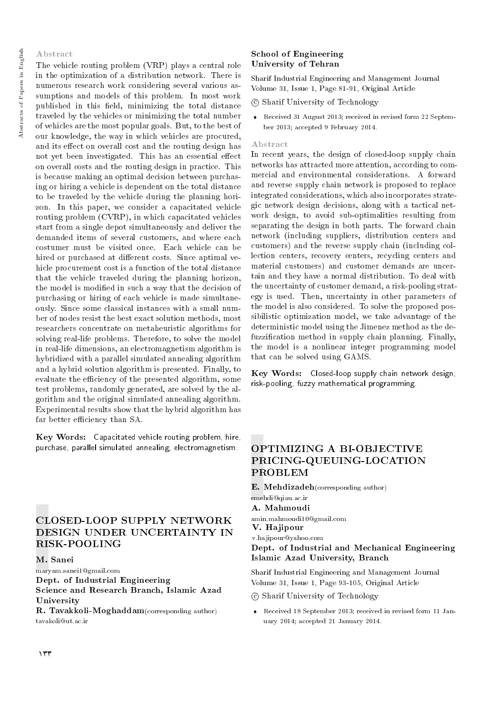#### Abstract

The vehicle routing problem (VRP) plays a central role in the optimization of a distribution network. There is numerous research work considering several various assumptions and models of this problem. In most work published in this field, minimizing the total distance traveled by the vehicles or minimizing the total number of vehicles are the most popular goals. But, to the best of our knowledge, the way in which vehicles are procured, and its effect on overall cost and the routing design has not yet been investigated. This has an essential effect on overall costs and the routing design in practice. This is because making an optimal decision between purchasing or hiring a vehicle is dependent on the total distance to be traveled by the vehicle during the planning horizon. In this paper, we consider a capacitated vehicle routing problem (CVRP), in which capacitated vehicles start from a single depot simultaneously and deliver the demanded items of several customers, and where each costumer must be visited once. Each vehicle can be hired or purchased at different costs. Since aptimal vehicle procurement cost is a function of the total distance that the vehicle traveled during the planning horizon, the model is modied in such a way that the decision of purchasing or hiring of each vehicle is made simultaneously. Since some classical instances with a small number of nodes resist the best exact solution methods, most researchers concentrate on metaheuristic algorithms for solving real-life problems. Therefore, to solve the model in real-life dimensions, an electromagnetism algorithm is hybridized with a parallel simulated annealing algorithm and a hybrid solution algorithm is presented. Finally, to evaluate the efficiency of the presented algorithm, some test problems, randomly generated, are solved by the algorithm and the original simulated annealing algorithm. Experimental results show that the hybrid algorithm has far better efficiency than SA.

Key Words: Capacitated vehicle routing problem, hire, purchase, parallel simulated annealing, electromagnetism.

# CLOSED-LOOP SUPPLY NETWORK DESIGN UNDER UNCERTAINTY IN RISK-POOLING

M. Sanei

maryam.sanei1@gmail.com Dept. of Industrial Engineering Science and Research Branch, Islamic Azad University

R. Tavakkoli-Moghaddam(corresponding author) tavakoli@ut.ac.ir

#### School of Engineering University of Tehran

Sharif Industrial Engineering and Management Journal Volume 31, Issue 1, Page 81-91, Original Article

c Sharif University of Technology

 Received 31 August 2013; received in revised form 22 September 2013; accepted 9 February 2014.

#### Abstract

In recent years, the design of closed-loop supply chain networks has attracted more attention, according to commercial and environmental considerations. A forward and reverse supply chain network is proposed to replace integrated considerations, which also incorporates strategic network design decisions, along with a tactical network design, to avoid sub-optimalities resulting from separating the design in both parts. The forward chain network (including suppliers, distribution centers and customers) and the reverse supply chain (including collection centers, recovery centers, recycling centers and material customers) and customer demands are uncertain and they have a normal distribution. To deal with the uncertainty of customer demand, a risk-pooling strategy is used. Then, uncertainty in other parameters of the model is also considered. To solve the proposed possibilistic optimization model, we take advantage of the deterministic model using the Jimenez method as the defuzzification method in supply chain planning. Finally, the model is a nonlinear integer programming model that can be solved using GAMS.

Key Words: Closed-loop supply chain network design, risk-pooling, fuzzy mathematical programming.

# OPTIMIZING A BI-OBJECTIVE PRICING-QUEUING-LOCATION PROBLEM

E. Mehdizadeh(corresponding author) emehdi@qiau.ac.ir A. Mahmoudi amin.mahmoudi10@gmail.com Dept. of Industrial and Mechanical Engineering Islamic Azad University, Branch V. Hajipour v.hajipour@yahoo.com

Sharif Industrial Engineering and Management Journal Volume 31, Issue 1, Page 93-105, Original Article

c Sharif University of Technology

 Received 18 September 2013; received in revised form 11 January 2014; accepted 21 January 2014.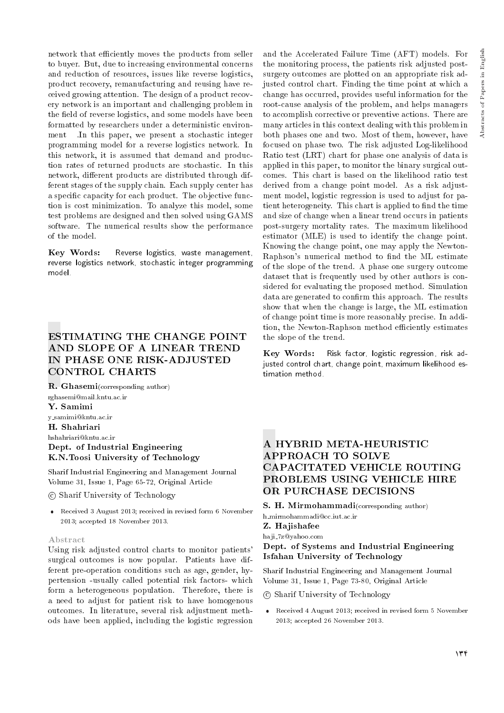network that efficiently moves the products from seller to buyer. But, due to increasing environmental concerns and reduction of resources, issues like reverse logistics, product recovery, remanufacturing and reusing have received growing attention. The design of a product recovery network is an important and challenging problem in the field of reverse logistics, and some models have been formatted by researchers under a deterministic environment In this paper, we present a stochastic integer programming model for a reverse logistics network. In this network, it is assumed that demand and production rates of returned products are stochastic. In this network, different products are distributed through different stages of the supply chain. Each supply center has a specific capacity for each product. The objective function is cost minimization. To analyze this model, some test problems are designed and then solved using GAMS software. The numerical results show the performance of the model.

Key Words: Reverse logistics, waste management, reverse logistics network, stochastic integer programming model.

# ESTIMATING THE CHANGE POINT AND SLOPE OF A LINEAR TREND IN PHASE ONE RISK-ADJUSTED CONTROL CHARTS

R. Ghasemi(corresponding author) rghasemi@mail.kntu.ac.ir Y. Samimi y samimi@kntu.ac.ir H. Shahriari hshahriari@kntu.ac.ir Dept. of Industrial Engineering K.N.Toosi University of Technology

Sharif Industrial Engineering and Management Journal Volume 31, Issue 1, Page 65-72, Original Article

c Sharif University of Technology

 Received 3 August 2013; received in revised form 6 November 2013; accepted 18 November 2013.

#### Abstract

Using risk adjusted control charts to monitor patients' surgical outcomes is now popular. Patients have different pre-operation conditions such as age, gender, hypertension -usually called potential risk factors- which form a heterogeneous population. Therefore, there is a need to adjust for patient risk to have homogenous outcomes. In literature, several risk adjustment methods have been applied, including the logistic regression and the Accelerated Failure Time (AFT) models. For the monitoring process, the patients risk adjusted postsurgery outcomes are plotted on an appropriate risk adjusted control chart. Finding the time point at which a change has occurred, provides useful information for the root-cause analysis of the problem, and helps managers to accomplish corrective or preventive actions. There are many articles in this context dealing with this problem in both phases one and two. Most of them, however, have focused on phase two. The risk adjusted Log-likelihood Ratio test (LRT) chart for phase one analysis of data is applied in this paper, to monitor the binary surgical outcomes. This chart is based on the likelihood ratio test derived from a change point model. As a risk adjustment model, logistic regression is used to adjust for patient heterogeneity. This chart is applied to find the time and size of change when a linear trend occurs in patients post-surgery mortality rates. The maximum likelihood estimator (MLE) is used to identify the change point. Knowing the change point, one may apply the Newton-Raphson's numerical method to find the ML estimate of the slope of the trend. A phase one surgery outcome dataset that is frequently used by other authors is considered for evaluating the proposed method. Simulation data are generated to confirm this approach. The results show that when the change is large, the ML estimation of change point time is more reasonably precise. In addition, the Newton-Raphson method efficiently estimates the slope of the trend.

Key Words: Risk factor, logistic regression, risk adjusted control chart, change point, maximum likelihood estimation method.

# A HYBRID META-HEURISTIC APPROACH TO SOLVE CAPACITATED VEHICLE ROUTING PROBLEMS USING VEHICLE HIRE OR PURCHASE DECISIONS

S. H. Mirmohammadi(corresponding author)

h mirmohammadi@cc.iut.ac.ir

Z. Hajishafee

haji 7z@yahoo.com

#### Dept. of Systems and Industrial Engineering Isfahan University of Technology

Sharif Industrial Engineering and Management Journal Volume 31, Issue 1, Page 73-80, Original Article

c Sharif University of Technology

 Received 4 August 2013; received in revised form 5 November 2013; accepted 26 November 2013.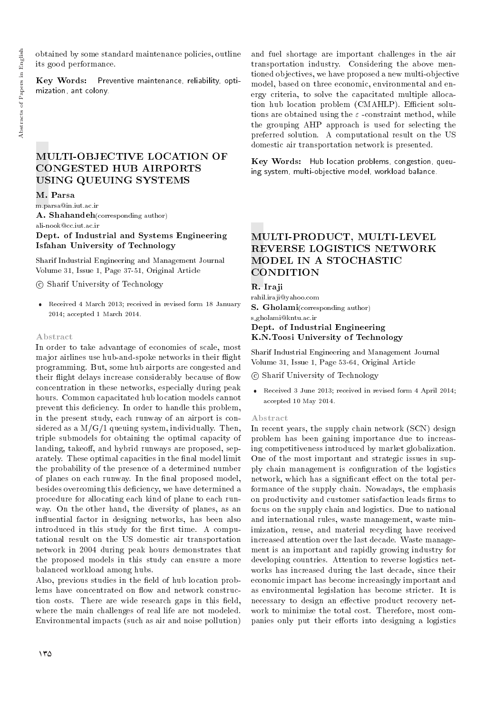obtained by some standard maintenance policies, outline its good performance.

Key Words: Preventive maintenance, reliability, optimization, ant colony.

# MULTI-OBJECTIVE LOCATION OF CONGESTED HUB AIRPORTS USING QUEUING SYSTEMS

M. Parsa

m.parsa@in.iut.ac.ir A. Shahandeh(corresponding author)

ali-nook@cc.iut.ac.ir

Dept. of Industrial and Systems Engineering Isfahan University of Technology

Sharif Industrial Engineering and Management Journal Volume 31, Issue 1, Page 37-51, Original Article

c Sharif University of Technology

 Received 4 March 2013; received in revised form 18 January 2014; accepted 1 March 2014.

#### Abstract

In order to take advantage of economies of scale, most major airlines use hub-and-spoke networks in their flight programming. But, some hub airports are congested and their flight delays increase considerably because of flow concentration in these networks, especially during peak hours. Common capacitated hub location models cannot prevent this deficiency. In order to handle this problem, in the present study, each runway of an airport is considered as a  $M/G/1$  queuing system, individually. Then, triple submodels for obtaining the optimal capacity of landing, takeoff, and hybrid runways are proposed, separately. These optimal capacities in the final model limit the probability of the presence of a determined number of planes on each runway. In the final proposed model, besides overcoming this deficiency, we have determined a procedure for allocating each kind of plane to each runway. On the other hand, the diversity of planes, as an in
uential factor in designing networks, has been also introduced in this study for the first time. A computational result on the US domestic air transportation network in 2004 during peak hours demonstrates that the proposed models in this study can ensure a more balanced workload among hubs.

Also, previous studies in the field of hub location problems have concentrated on flow and network construction costs. There are wide research gaps in this field, where the main challenges of real life are not modeled. Environmental impacts (such as air and noise pollution) and fuel shortage are important challenges in the air transportation industry. Considering the above mentioned objectives, we have proposed a new multi-objective model, based on three economic, environmental and energy criteria, to solve the capacitated multiple allocation hub location problem (CMAHLP). Efficient solutions are obtained using the  $\varepsilon$ -constraint method, while the grouping AHP approach is used for selecting the preferred solution. A computational result on the US domestic air transportation network is presented.

Key Words: Hub location problems, congestion, queuing system, multi-objective model, workload balance.

# MULTI-PRODUCT, MULTI-LEVEL REVERSE LOGISTICS NETWORK MODEL IN A STOCHASTIC **CONDITION**

#### R. Iraji

rahil.iraji@yahoo.com S. Gholami(corresponding author) s gholami@kntu.ac.ir Dept. of Industrial Engineering K.N.Toosi University of Technology

Sharif Industrial Engineering and Management Journal Volume 31, Issue 1, Page 53-64, Original Article

#### c Sharif University of Technology

 Received 3 June 2013; received in revised form 4 April 2014; accepted 10 May 2014.

#### Abstract

In recent years, the supply chain network (SCN) design problem has been gaining importance due to increasing competitiveness introduced by market globalization. One of the most important and strategic issues in supply chain management is configuration of the logistics network, which has a significant effect on the total performance of the supply chain. Nowadays, the emphasis on productivity and customer satisfaction leads firms to focus on the supply chain and logistics. Due to national and international rules, waste management, waste minimization, reuse, and material recycling have received increased attention over the last decade. Waste management is an important and rapidly growing industry for developing countries. Attention to reverse logistics networks has increased during the last decade, since their economic impact has become increasingly important and as environmental legislation has become stricter. It is necessary to design an effective product recovery network to minimize the total cost. Therefore, most companies only put their efforts into designing a logistics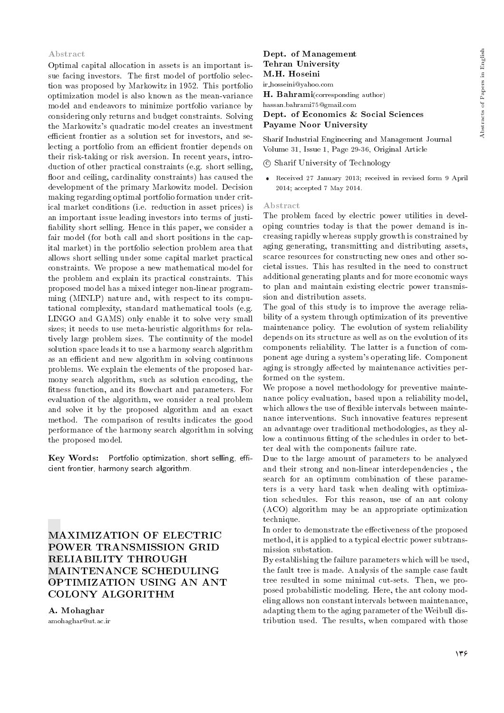#### Abstract

Optimal capital allocation in assets is an important issue facing investors. The first model of portfolio selection was proposed by Markowitz in 1952. This portfolio optimization model is also known as the mean-variance model and endeavors to minimize portfolio variance by considering only returns and budget constraints. Solving the Markowitz's quadratic model creates an investment efficient frontier as a solution set for investors, and selecting a portfolio from an efficient frontier depends on their risk-taking or risk aversion. In recent years, introduction of other practical constraints (e.g. short selling, floor and ceiling, cardinality constraints) has caused the development of the primary Markowitz model. Decision making regarding optimal portfolio formation under critical market conditions (i.e. reduction in asset prices) is an important issue leading investors into terms of justi ability short selling. Hence in this paper, we consider a fair model (for both call and short positions in the capital market) in the portfolio selection problem area that allows short selling under some capital market practical constraints. We propose a new mathematical model for the problem and explain its practical constraints. This proposed model has a mixed integer non-linear programming (MINLP) nature and, with respect to its computational complexity, standard mathematical tools (e.g. LINGO and GAMS) only enable it to solve very small sizes; it needs to use meta-heuristic algorithms for relatively large problem sizes. The continuity of the model solution space leads it to use a harmony search algorithm as an efficient and new algorithm in solving continuous problems. We explain the elements of the proposed harmony search algorithm, such as solution encoding, the fitness function, and its flowchart and parameters. For evaluation of the algorithm, we consider a real problem and solve it by the proposed algorithm and an exact method. The comparison of results indicates the good performance of the harmony search algorithm in solving the proposed model.

Key Words: Portfolio optimization, short selling, efficient frontier, harmony search algorithm.

# MAXIMIZATION OF ELECTRIC POWER TRANSMISSION GRID RELIABILITY THROUGH MAINTENANCE SCHEDULING OPTIMIZATION USING AN ANT COLONY ALGORITHM

A. Mohaghar amohaghar@ut.ac.ir

### Dept. of Management Tehran University M.H. Hoseini

ir hosseini@yahoo.com

H. Bahrami(corresponding author)

hassan.bahrami75@gmail.com

Dept. of Economics & Social Sciences Payame Noor University

Sharif Industrial Engineering and Management Journal Volume 31, Issue 1, Page 29-36, Original Article

c Sharif University of Technology

 Received 27 January 2013; received in revised form 9 April 2014; accepted 7 May 2014.

#### Abstract

The problem faced by electric power utilities in developing countries today is that the power demand is increasing rapidly whereas supply growth is constrained by aging generating, transmitting and distributing assets, scarce resources for constructing new ones and other societal issues. This has resulted in the need to construct additional generating plants and for more economic ways to plan and maintain existing electric power transmission and distribution assets.

The goal of this study is to improve the average reliability of a system through optimization of its preventive maintenance policy. The evolution of system reliability depends on its structure as well as on the evolution of its components reliability. The latter is a function of component age during a system's operating life. Component aging is strongly affected by maintenance activities performed on the system.

We propose a novel methodology for preventive maintenance policy evaluation, based upon a reliability model, which allows the use of flexible intervals between maintenance interventions. Such innovative features represent an advantage over traditional methodologies, as they allow a continuous fitting of the schedules in order to better deal with the components failure rate.

Due to the large amount of parameters to be analyzed and their strong and non-linear interdependencies , the search for an optimum combination of these parameters is a very hard task when dealing with optimization schedules. For this reason, use of an ant colony (ACO) algorithm may be an appropriate optimization technique.

In order to demonstrate the effectiveness of the proposed method, it is applied to a typical electric power subtransmission substation.

By establishing the failure parameters which will be used, the fault tree is made. Analysis of the sample case fault tree resulted in some minimal cut-sets. Then, we proposed probabilistic modeling. Here, the ant colony modeling allows non constant intervals between maintenance, adapting them to the aging parameter of the Weibull distribution used. The results, when compared with those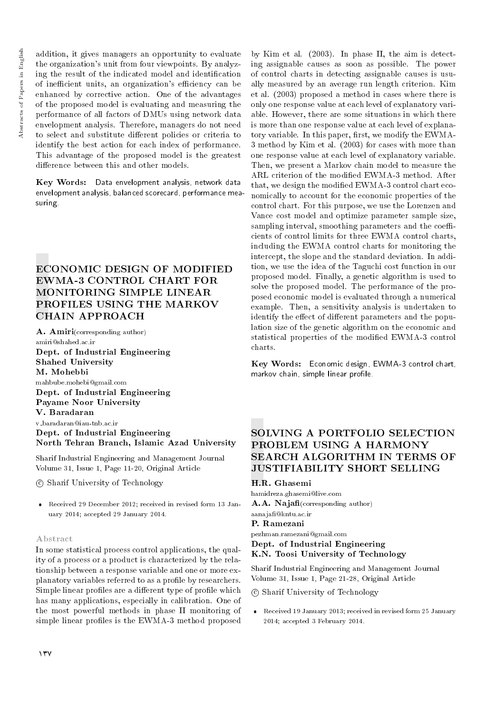addition, it gives managers an opportunity to evaluate the organization's unit from four viewpoints. By analyzing the result of the indicated model and identication of inefficient units, an organization's efficiency can be enhanced by corrective action. One of the advantages of the proposed model is evaluating and measuring the performance of all factors of DMUs using network data envelopment analysis. Therefore, managers do not need to select and substitute different policies or criteria to identify the best action for each index of performance. This advantage of the proposed model is the greatest difference between this and other models.

Key Words: Data envelopment analysis, network data envelopment analysis, balanced scorecard, performance measuring.

# ECONOMIC DESIGN OF MODIFIED EWMA-3 CONTROL CHART FOR MONITORING SIMPLE LINEAR PROFILES USING THE MARKOV CHAIN APPROACH

A. Amiri(corresponding author) amiri@shahed.ac.ir Dept. of Industrial Engineering Shahed University M. Mohebbi mahbube.mohebi@gmail.com Dept. of Industrial Engineering Payame Noor University V. Baradaran v baradaran@iau-tnb.ac.ir Dept. of Industrial Engineering North Tehran Branch, Islamic Azad University

Sharif Industrial Engineering and Management Journal Volume 31, Issue 1, Page 11-20, Original Article

c Sharif University of Technology

 Received 29 December 2012; received in revised form 13 January 2014; accepted 29 January 2014.

#### Abstract

In some statistical process control applications, the quality of a process or a product is characterized by the relationship between a response variable and one or more explanatory variables referred to as a profile by researchers. Simple linear profiles are a different type of profile which has many applications, especially in calibration. One of the most powerful methods in phase II monitoring of simple linear profiles is the EWMA-3 method proposed

by Kim et al. (2003). In phase II, the aim is detecting assignable causes as soon as possible. The power of control charts in detecting assignable causes is usually measured by an average run length criterion. Kim et al. (2003) proposed a method in cases where there is only one response value at each level of explanatory variable. However, there are some situations in which there is more than one response value at each level of explanatory variable. In this paper, first, we modify the EWMA-3 method by Kim et al. (2003) for cases with more than one response value at each level of explanatory variable. Then, we present a Markov chain model to measure the ARL criterion of the modied EWMA-3 method. After that, we design the modied EWMA-3 control chart economically to account for the economic properties of the control chart. For this purpose, we use the Lorenzen and Vance cost model and optimize parameter sample size, sampling interval, smoothing parameters and the coefficients of control limits for three EWMA control charts, including the EWMA control charts for monitoring the intercept, the slope and the standard deviation. In addition, we use the idea of the Taguchi cost function in our proposed model. Finally, a genetic algorithm is used to solve the proposed model. The performance of the proposed economic model is evaluated through a numerical example. Then, a sensitivity analysis is undertaken to identify the effect of different parameters and the population size of the genetic algorithm on the economic and statistical properties of the modied EWMA-3 control charts.

Key Words: Economic design, EWMA-3 control chart, markov chain, simple linear profile.

# SOLVING A PORTFOLIO SELECTION PROBLEM USING A HARMONY SEARCH ALGORITHM IN TERMS OF JUSTIFIABILITY SHORT SELLING

H.R. Ghasemi

hamidreza.ghasemi@live.com A.A. Najafi(corresponding author) aanaja@kntu.ac.ir

#### P. Ramezani

pezhman.ramezani@gmail.com Dept. of Industrial Engineering K.N. Toosi University of Technology

Sharif Industrial Engineering and Management Journal Volume 31, Issue 1, Page 21-28, Original Article

c Sharif University of Technology

 Received 19 January 2013; received in revised form 25 January 2014; accepted 3 February 2014.